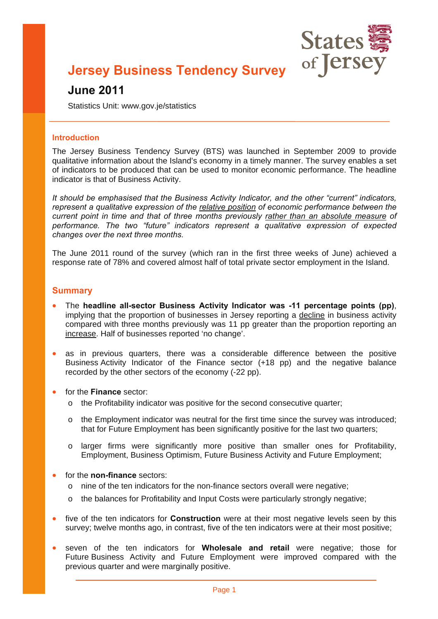

## **Jersey Business Tendency Survey**

## **June 2011**

Statistics Unit: www.gov.je/statistics

#### **Introduction**

The Jersey Business Tendency Survey (BTS) was launched in September 2009 to provide qualitative information about the Island's economy in a timely manner. The survey enables a set of indicators to be produced that can be used to monitor economic performance. The headline indicator is that of Business Activity.

*It should be emphasised that the Business Activity Indicator, and the other "current" indicators, represent a qualitative expression of the relative position of economic performance between the current point in time and that of three months previously rather than an absolute measure of performance. The two "future" indicators represent a qualitative expression of expected changes over the next three months.* 

The June 2011 round of the survey (which ran in the first three weeks of June) achieved a response rate of 78% and covered almost half of total private sector employment in the Island.

#### **Summary**

- The **headline all-sector Business Activity Indicator was -11 percentage points (pp)**, implying that the proportion of businesses in Jersey reporting a decline in business activity compared with three months previously was 11 pp greater than the proportion reporting an increase. Half of businesses reported 'no change'.
- as in previous quarters, there was a considerable difference between the positive Business Activity Indicator of the Finance sector (+18 pp) and the negative balance recorded by the other sectors of the economy (-22 pp).
- for the **Finance** sector:
	- o the Profitability indicator was positive for the second consecutive quarter;
	- $\circ$  the Employment indicator was neutral for the first time since the survey was introduced; that for Future Employment has been significantly positive for the last two quarters;
	- o larger firms were significantly more positive than smaller ones for Profitability, Employment, Business Optimism, Future Business Activity and Future Employment;
- for the **non-finance** sectors:
	- o nine of the ten indicators for the non-finance sectors overall were negative;
	- o the balances for Profitability and Input Costs were particularly strongly negative;
- five of the ten indicators for **Construction** were at their most negative levels seen by this survey; twelve months ago, in contrast, five of the ten indicators were at their most positive;
- seven of the ten indicators for **Wholesale and retail** were negative; those for Future Business Activity and Future Employment were improved compared with the previous quarter and were marginally positive.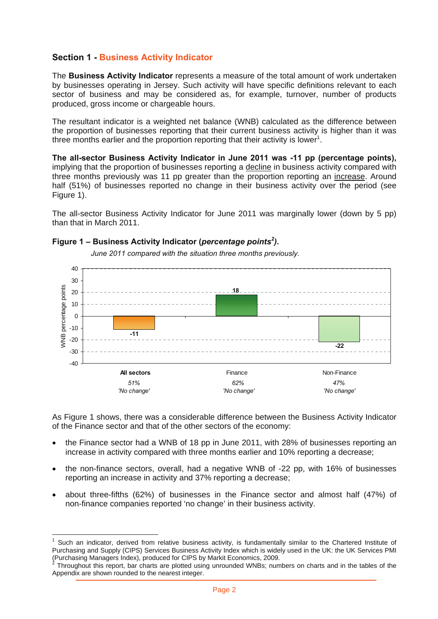## **Section 1 - Business Activity Indicator**

The **Business Activity Indicator** represents a measure of the total amount of work undertaken by businesses operating in Jersey. Such activity will have specific definitions relevant to each sector of business and may be considered as, for example, turnover, number of products produced, gross income or chargeable hours.

The resultant indicator is a weighted net balance (WNB) calculated as the difference between the proportion of businesses reporting that their current business activity is higher than it was three months earlier and the proportion reporting that their activity is lower<sup>1</sup>.

**The all-sector Business Activity Indicator in June 2011 was -11 pp (percentage points),**  implying that the proportion of businesses reporting a decline in business activity compared with three months previously was 11 pp greater than the proportion reporting an increase. Around half (51%) of businesses reported no change in their business activity over the period (see Figure 1).

The all-sector Business Activity Indicator for June 2011 was marginally lower (down by 5 pp) than that in March 2011.

#### **Figure 1 – Business Activity Indicator (***percentage points<sup>2</sup> )***.**

 $\overline{a}$ 



 *June 2011 compared with the situation three months previously.* 

As Figure 1 shows, there was a considerable difference between the Business Activity Indicator of the Finance sector and that of the other sectors of the economy:

- the Finance sector had a WNB of 18 pp in June 2011, with 28% of businesses reporting an increase in activity compared with three months earlier and 10% reporting a decrease;
- the non-finance sectors, overall, had a negative WNB of -22 pp, with 16% of businesses reporting an increase in activity and 37% reporting a decrease;
- about three-fifths (62%) of businesses in the Finance sector and almost half (47%) of non-finance companies reported 'no change' in their business activity.

<sup>1</sup> Such an indicator, derived from relative business activity, is fundamentally similar to the Chartered Institute of Purchasing and Supply (CIPS) Services Business Activity Index which is widely used in the UK: the UK Services PMI (Purchasing Managers Index), produced for CIPS by Markit Economics, 2009.

Throughout this report, bar charts are plotted using unrounded WNBs; numbers on charts and in the tables of the Appendix are shown rounded to the nearest integer.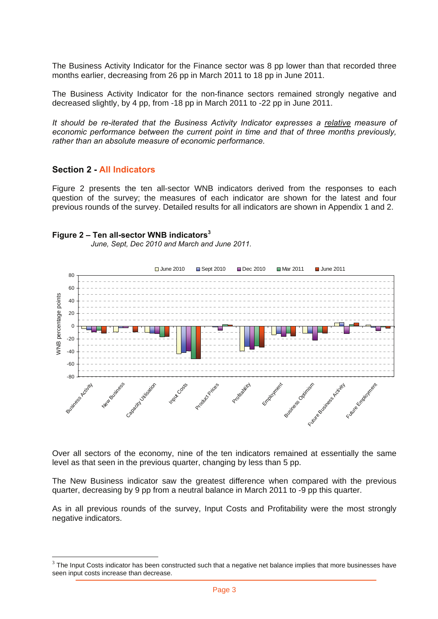The Business Activity Indicator for the Finance sector was 8 pp lower than that recorded three months earlier, decreasing from 26 pp in March 2011 to 18 pp in June 2011.

The Business Activity Indicator for the non-finance sectors remained strongly negative and decreased slightly, by 4 pp, from -18 pp in March 2011 to -22 pp in June 2011.

*It should be re-iterated that the Business Activity Indicator expresses a relative measure of economic performance between the current point in time and that of three months previously, rather than an absolute measure of economic performance.* 

#### **Section 2 - All Indicators**

 $\overline{a}$ 

Figure 2 presents the ten all-sector WNB indicators derived from the responses to each question of the survey; the measures of each indicator are shown for the latest and four previous rounds of the survey. Detailed results for all indicators are shown in Appendix 1 and 2.

#### **Figure 2 – Ten all-sector WNB indicators<sup>3</sup>**

 *June, Sept, Dec 2010 and March and June 2011.* 



Over all sectors of the economy, nine of the ten indicators remained at essentially the same level as that seen in the previous quarter, changing by less than 5 pp.

The New Business indicator saw the greatest difference when compared with the previous quarter, decreasing by 9 pp from a neutral balance in March 2011 to -9 pp this quarter.

As in all previous rounds of the survey, Input Costs and Profitability were the most strongly negative indicators.

 $3$  The Input Costs indicator has been constructed such that a negative net balance implies that more businesses have seen input costs increase than decrease.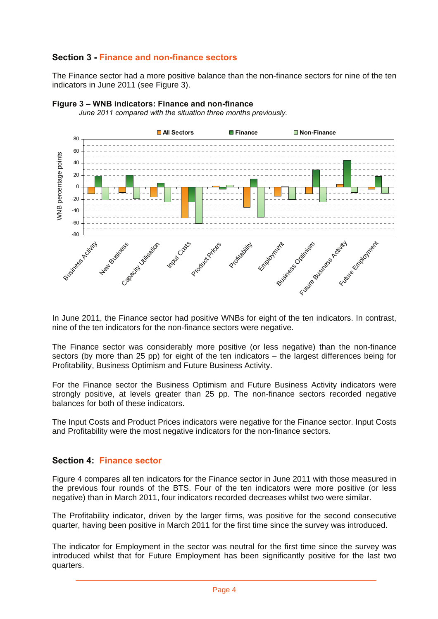## **Section 3 - Finance and non-finance sectors**

The Finance sector had a more positive balance than the non-finance sectors for nine of the ten indicators in June 2011 (see Figure 3).



#### **Figure 3 – WNB indicators: Finance and non-finance**

*June 2011 compared with the situation three months previously.* 

In June 2011, the Finance sector had positive WNBs for eight of the ten indicators. In contrast, nine of the ten indicators for the non-finance sectors were negative.

The Finance sector was considerably more positive (or less negative) than the non-finance sectors (by more than 25 pp) for eight of the ten indicators – the largest differences being for Profitability, Business Optimism and Future Business Activity.

For the Finance sector the Business Optimism and Future Business Activity indicators were strongly positive, at levels greater than 25 pp. The non-finance sectors recorded negative balances for both of these indicators.

The Input Costs and Product Prices indicators were negative for the Finance sector. Input Costs and Profitability were the most negative indicators for the non-finance sectors.

#### **Section 4: Finance sector**

Figure 4 compares all ten indicators for the Finance sector in June 2011 with those measured in the previous four rounds of the BTS. Four of the ten indicators were more positive (or less negative) than in March 2011, four indicators recorded decreases whilst two were similar.

The Profitability indicator, driven by the larger firms, was positive for the second consecutive quarter, having been positive in March 2011 for the first time since the survey was introduced.

The indicator for Employment in the sector was neutral for the first time since the survey was introduced whilst that for Future Employment has been significantly positive for the last two quarters.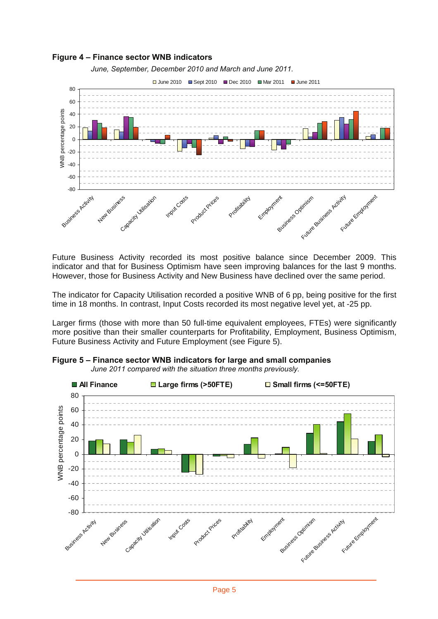

Future Business Activity recorded its most positive balance since December 2009. This indicator and that for Business Optimism have seen improving balances for the last 9 months. However, those for Business Activity and New Business have declined over the same period.

The indicator for Capacity Utilisation recorded a positive WNB of 6 pp, being positive for the first time in 18 months. In contrast, Input Costs recorded its most negative level yet, at -25 pp.

Larger firms (those with more than 50 full-time equivalent employees, FTEs) were significantly more positive than their smaller counterparts for Profitability, Employment, Business Optimism, Future Business Activity and Future Employment (see Figure 5).



**Figure 5 – Finance sector WNB indicators for large and small companies**   *June 2011 compared with the situation three months previously.*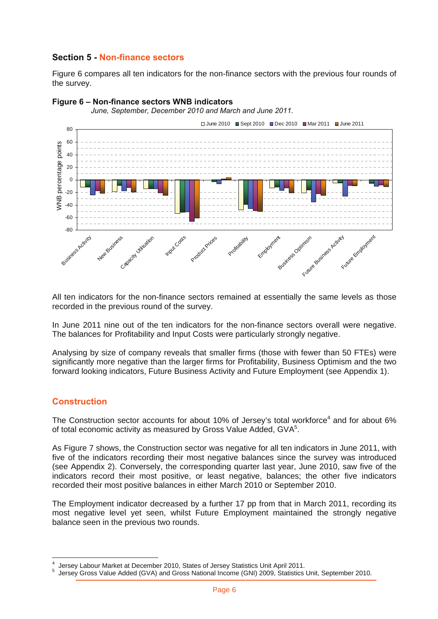### **Section 5 - Non-finance sectors**

Figure 6 compares all ten indicators for the non-finance sectors with the previous four rounds of the survey.



#### **Figure 6 – Non-finance sectors WNB indicators**

 *June, September, December 2010 and March and June 2011.* 

All ten indicators for the non-finance sectors remained at essentially the same levels as those recorded in the previous round of the survey.

In June 2011 nine out of the ten indicators for the non-finance sectors overall were negative. The balances for Profitability and Input Costs were particularly strongly negative.

Analysing by size of company reveals that smaller firms (those with fewer than 50 FTEs) were significantly more negative than the larger firms for Profitability, Business Optimism and the two forward looking indicators, Future Business Activity and Future Employment (see Appendix 1).

#### **Construction**

The Construction sector accounts for about 10% of Jersey's total workforce<sup>4</sup> and for about 6% of total economic activity as measured by Gross Value Added, GVA<sup>5</sup>.

As Figure 7 shows, the Construction sector was negative for all ten indicators in June 2011, with five of the indicators recording their most negative balances since the survey was introduced (see Appendix 2). Conversely, the corresponding quarter last year, June 2010, saw five of the indicators record their most positive, or least negative, balances; the other five indicators recorded their most positive balances in either March 2010 or September 2010.

The Employment indicator decreased by a further 17 pp from that in March 2011, recording its most negative level yet seen, whilst Future Employment maintained the strongly negative balance seen in the previous two rounds.

 $\overline{a}$ 4 Jersey Labour Market at December 2010, States of Jersey Statistics Unit April 2011.

Jersey Gross Value Added (GVA) and Gross National Income (GNI) 2009, Statistics Unit, September 2010.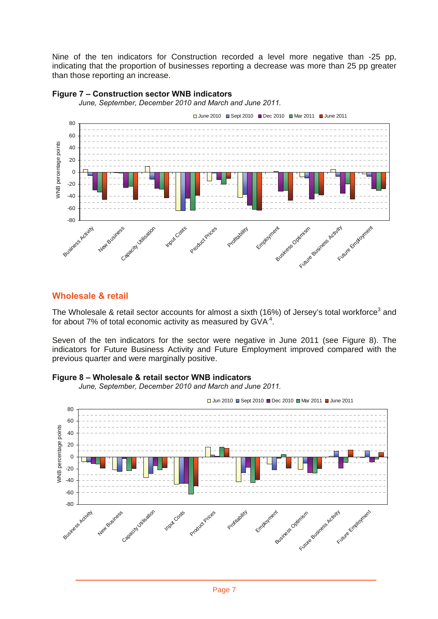Nine of the ten indicators for Construction recorded a level more negative than -25 pp, indicating that the proportion of businesses reporting a decrease was more than 25 pp greater than those reporting an increase.



#### **Figure 7 – Construction sector WNB indicators**

*June, September, December 2010 and March and June 2011.* 

#### **Wholesale & retail**

The Wholesale & retail sector accounts for almost a sixth (16%) of Jersey's total workforce<sup>3</sup> and for about 7% of total economic activity as measured by  $GVA<sup>4</sup>$ .

Seven of the ten indicators for the sector were negative in June 2011 (see Figure 8). The indicators for Future Business Activity and Future Employment improved compared with the previous quarter and were marginally positive.

#### **Figure 8 – Wholesale & retail sector WNB indicators**

*June, September, December 2010 and March and June 2011.* 



Jun 2010 Sept 2010 Dec 2010 Mar 2011 June 2011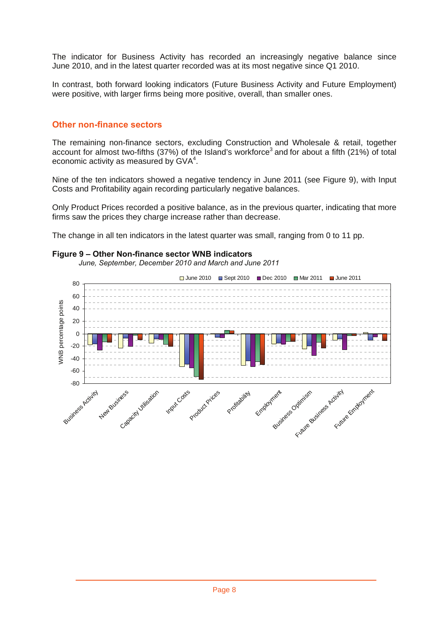The indicator for Business Activity has recorded an increasingly negative balance since June 2010, and in the latest quarter recorded was at its most negative since Q1 2010.

In contrast, both forward looking indicators (Future Business Activity and Future Employment) were positive, with larger firms being more positive, overall, than smaller ones.

#### **Other non-finance sectors**

The remaining non-finance sectors, excluding Construction and Wholesale & retail, together account for almost two-fifths (37%) of the Island's workforce<sup>3</sup> and for about a fifth (21%) of total economic activity as measured by GVA<sup>4</sup>.

Nine of the ten indicators showed a negative tendency in June 2011 (see Figure 9), with Input Costs and Profitability again recording particularly negative balances.

Only Product Prices recorded a positive balance, as in the previous quarter, indicating that more firms saw the prices they charge increase rather than decrease.

The change in all ten indicators in the latest quarter was small, ranging from 0 to 11 pp.

#### **Figure 9 – Other Non-finance sector WNB indicators**

*June, September, December 2010 and March and June 2011* 

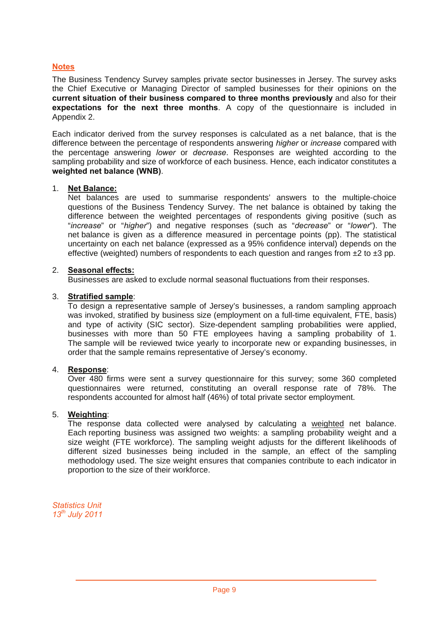#### **Notes**

The Business Tendency Survey samples private sector businesses in Jersey. The survey asks the Chief Executive or Managing Director of sampled businesses for their opinions on the **current situation of their business compared to three months previously** and also for their **expectations for the next three months**. A copy of the questionnaire is included in Appendix 2.

Each indicator derived from the survey responses is calculated as a net balance, that is the difference between the percentage of respondents answering *higher* or *increase* compared with the percentage answering *lower* or *decrease*. Responses are weighted according to the sampling probability and size of workforce of each business. Hence, each indicator constitutes a **weighted net balance (WNB)**.

#### 1. **Net Balance:**

Net balances are used to summarise respondents' answers to the multiple-choice questions of the Business Tendency Survey. The net balance is obtained by taking the difference between the weighted percentages of respondents giving positive (such as "*increase*" or "*higher*") and negative responses (such as "*decrease*" or "*lower*"). The net balance is given as a difference measured in percentage points (pp). The statistical uncertainty on each net balance (expressed as a 95% confidence interval) depends on the effective (weighted) numbers of respondents to each question and ranges from  $\pm 2$  to  $\pm 3$  pp.

#### 2. **Seasonal effects:**

Businesses are asked to exclude normal seasonal fluctuations from their responses.

#### 3. **Stratified sample**:

To design a representative sample of Jersey's businesses, a random sampling approach was invoked, stratified by business size (employment on a full-time equivalent, FTE, basis) and type of activity (SIC sector). Size-dependent sampling probabilities were applied, businesses with more than 50 FTE employees having a sampling probability of 1. The sample will be reviewed twice yearly to incorporate new or expanding businesses, in order that the sample remains representative of Jersey's economy.

#### 4. **Response**:

Over 480 firms were sent a survey questionnaire for this survey; some 360 completed questionnaires were returned, constituting an overall response rate of 78%. The respondents accounted for almost half (46%) of total private sector employment.

#### 5. **Weighting**:

The response data collected were analysed by calculating a weighted net balance. Each reporting business was assigned two weights: a sampling probability weight and a size weight (FTE workforce). The sampling weight adjusts for the different likelihoods of different sized businesses being included in the sample, an effect of the sampling methodology used. The size weight ensures that companies contribute to each indicator in proportion to the size of their workforce.

*Statistics Unit 13th July 2011*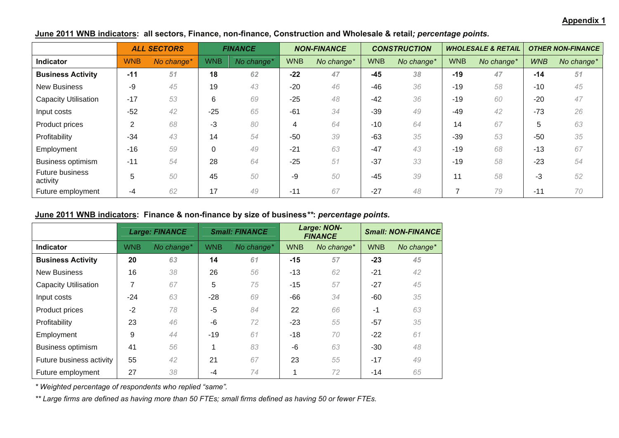#### **Appendix 1**

|                             |            | <b>ALL SECTORS</b> |            | <b>FINANCE</b> |            | <b>NON-FINANCE</b> |            | <b>CONSTRUCTION</b> |            | <b>WHOLESALE &amp; RETAIL</b> |            | <b>OTHER NON-FINANCE</b> |
|-----------------------------|------------|--------------------|------------|----------------|------------|--------------------|------------|---------------------|------------|-------------------------------|------------|--------------------------|
| Indicator                   | <b>WNB</b> | No change*         | <b>WNB</b> | No change*     | <b>WNB</b> | No change*         | <b>WNB</b> | No change*          | <b>WNB</b> | No change*                    | <b>WNB</b> | No change*               |
| <b>Business Activity</b>    | $-11$      | 51                 | 18         | 62             | $-22$      | 47                 | $-45$      | 38                  | $-19$      | 47                            | $-14$      | 51                       |
| <b>New Business</b>         | -9         | 45                 | 19         | 43             | $-20$      | 46                 | -46        | 36                  | $-19$      | 58                            | $-10$      | 45                       |
| <b>Capacity Utilisation</b> | $-17$      | 53                 | 6          | 69             | $-25$      | 48                 | $-42$      | 36                  | $-19$      | 60                            | $-20$      | 47                       |
| Input costs                 | $-52$      | 42                 | $-25$      | 65             | $-61$      | 34                 | $-39$      | 49                  | $-49$      | 42                            | $-73$      | 26                       |
| Product prices              | 2          | 68                 | -3         | 80             | 4          | 64                 | $-10$      | 64                  | 14         | 67                            | 5          | 63                       |
| Profitability               | $-34$      | 43                 | 14         | 54             | $-50$      | 39                 | $-63$      | 35                  | $-39$      | 53                            | $-50$      | 35                       |
| Employment                  | $-16$      | 59                 | 0          | 49             | $-21$      | 63                 | $-47$      | 43                  | $-19$      | 68                            | $-13$      | 67                       |
| <b>Business optimism</b>    | $-11$      | 54                 | 28         | 64             | $-25$      | 51                 | $-37$      | 33                  | $-19$      | 58                            | $-23$      | 54                       |
| Future business<br>activity | 5          | 50                 | 45         | 50             | -9         | 50                 | $-45$      | 39                  | 11         | 58                            | $-3$       | 52                       |
| Future employment           | -4         | 62                 | 17         | 49             | $-11$      | 67                 | $-27$      | 48                  |            | 79                            | $-11$      | 70                       |

## **June 2011 WNB indicators: all sectors, Finance, non-finance, Construction and Wholesale & retail***; percentage points.*

#### **June 2011 WNB indicators: Finance & non-finance by size of business***\*\****:** *percentage points.*

|                             |            | <b>Large: FINANCE</b> | <b>Small: FINANCE</b> |            | Large: NON-<br><b>FINANCE</b> |            | <b>Small: NON-FINANCE</b> |            |
|-----------------------------|------------|-----------------------|-----------------------|------------|-------------------------------|------------|---------------------------|------------|
| <b>Indicator</b>            | <b>WNB</b> | No change*            | <b>WNB</b>            | No change* | <b>WNB</b>                    | No change* | <b>WNB</b>                | No change* |
| <b>Business Activity</b>    | 20         | 63                    | 14                    | 61         | $-15$                         | 57         | $-23$                     | 45         |
| <b>New Business</b>         | 16         | 38                    | 26                    | 56         | $-13$                         | 62         | $-21$                     | 42         |
| <b>Capacity Utilisation</b> | 7          | 67                    | 5                     | 75         | $-15$                         | 57         | $-27$                     | 45         |
| Input costs                 | $-24$      | 63                    | $-28$                 | 69         | -66                           | 34         | -60                       | 35         |
| Product prices              | $-2$       | 78                    | -5                    | 84         | 22                            | 66         | $-1$                      | 63         |
| Profitability               | 23         | 46                    | -6                    | 72         | $-23$                         | 55         | $-57$                     | 35         |
| Employment                  | 9          | 44                    | $-19$                 | 61         | $-18$                         | 70         | $-22$                     | 61         |
| <b>Business optimism</b>    | 41         | 56                    |                       | 83         | -6                            | 63         | $-30$                     | 48         |
| Future business activity    | 55         | 42                    | 21                    | 67         | 23                            | 55         | $-17$                     | 49         |
| Future employment           | 27         | 38                    | -4                    | 74         |                               | 72         | -14                       | 65         |

*\* Weighted percentage of respondents who replied "same".* 

*\*\* Large firms are defined as having more than 50 FTEs; small firms defined as having 50 or fewer FTEs.*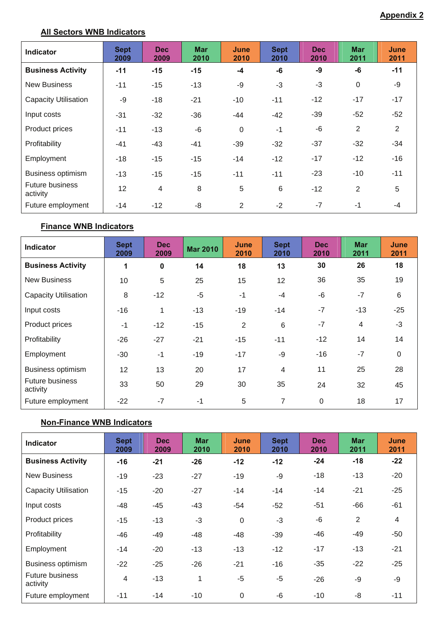## **All Sectors WNB Indicators**

| <b>Indicator</b>                   | <b>Sept</b><br>2009 | <b>Dec</b><br>2009 | <b>Mar</b><br>2010 | June<br>2010   | <b>Sept</b><br>2010 | <b>Dec</b><br>2010 | <b>Mar</b><br>2011 | June<br>2011 |
|------------------------------------|---------------------|--------------------|--------------------|----------------|---------------------|--------------------|--------------------|--------------|
| <b>Business Activity</b>           | $-11$               | $-15$              | $-15$              | $-4$           | -6                  | -9                 | -6                 | $-11$        |
| <b>New Business</b>                | $-11$               | $-15$              | $-13$              | -9             | $-3$                | -3                 | 0                  | -9           |
| Capacity Utilisation               | -9                  | $-18$              | $-21$              | $-10$          | $-11$               | $-12$              | $-17$              | $-17$        |
| Input costs                        | $-31$               | $-32$              | $-36$              | $-44$          | $-42$               | $-39$              | $-52$              | $-52$        |
| Product prices                     | $-11$               | $-13$              | $-6$               | $\mathbf{0}$   | $-1$                | -6                 | 2                  | 2            |
| Profitability                      | $-41$               | $-43$              | -41                | $-39$          | $-32$               | $-37$              | $-32$              | $-34$        |
| Employment                         | $-18$               | $-15$              | $-15$              | $-14$          | $-12$               | $-17$              | $-12$              | -16          |
| <b>Business optimism</b>           | $-13$               | $-15$              | $-15$              | $-11$          | $-11$               | $-23$              | $-10$              | $-11$        |
| <b>Future business</b><br>activity | 12                  | $\overline{4}$     | 8                  | 5              | 6                   | $-12$              | 2                  | 5            |
| Future employment                  | -14                 | $-12$              | -8                 | $\overline{2}$ | $-2$                | $-7$               | $-1$               | $-4$         |

## **Finance WNB Indicators**

| Indicator                          | <b>Sept</b><br>2009 | Dec<br>2009 | <b>Mar 2010</b> | June<br>2010   | <b>Sept</b><br>2010 | <b>Dec</b><br>2010 | <b>Mar</b><br>2011 | June<br>2011 |
|------------------------------------|---------------------|-------------|-----------------|----------------|---------------------|--------------------|--------------------|--------------|
| <b>Business Activity</b>           | 1                   | $\bf{0}$    | 14              | 18             | 13                  | 30                 | 26                 | 18           |
| <b>New Business</b>                | 10                  | 5           | 25              | 15             | 12                  | 36                 | 35                 | 19           |
| <b>Capacity Utilisation</b>        | 8                   | $-12$       | $-5$            | $-1$           | $-4$                | -6                 | $-7$               | 6            |
| Input costs                        | $-16$               | 1           | $-13$           | $-19$          | $-14$               | $-7$               | $-13$              | $-25$        |
| Product prices                     | $-1$                | $-12$       | $-15$           | $\overline{2}$ | 6                   | $-7$               | 4                  | $-3$         |
| Profitability                      | $-26$               | $-27$       | $-21$           | $-15$          | $-11$               | $-12$              | 14                 | 14           |
| Employment                         | $-30$               | $-1$        | $-19$           | $-17$          | -9                  | $-16$              | $-7$               | 0            |
| <b>Business optimism</b>           | 12 <sub>2</sub>     | 13          | 20              | 17             | $\overline{4}$      | 11                 | 25                 | 28           |
| <b>Future business</b><br>activity | 33                  | 50          | 29              | 30             | 35                  | 24                 | 32                 | 45           |
| Future employment                  | $-22$               | $-7$        | $-1$            | 5              | 7                   | $\Omega$           | 18                 | 17           |

## **Non-Finance WNB Indicators**

| <b>Indicator</b>                   | <b>Sept</b><br>2009 | <b>Dec</b><br>2009 | <b>Mar</b><br>2010 | June<br>2010 | <b>Sept</b><br>2010 | <b>Dec</b><br>2010 | <b>Mar</b><br>2011 | June<br>2011 |
|------------------------------------|---------------------|--------------------|--------------------|--------------|---------------------|--------------------|--------------------|--------------|
| <b>Business Activity</b>           | $-16$               | $-21$              | $-26$              | $-12$        | $-12$               | $-24$              | $-18$              | $-22$        |
| <b>New Business</b>                | $-19$               | $-23$              | $-27$              | $-19$        | -9                  | $-18$              | $-13$              | $-20$        |
| <b>Capacity Utilisation</b>        | $-15$               | $-20$              | $-27$              | $-14$        | $-14$               | -14                | $-21$              | $-25$        |
| Input costs                        | -48                 | $-45$              | -43                | $-54$        | $-52$               | $-51$              | $-66$              | $-61$        |
| Product prices                     | $-15$               | $-13$              | $-3$               | 0            | $-3$                | -6                 | 2                  | 4            |
| Profitability                      | -46                 | $-49$              | -48                | -48          | $-39$               | -46                | -49                | $-50$        |
| Employment                         | $-14$               | $-20$              | $-13$              | $-13$        | $-12$               | $-17$              | $-13$              | $-21$        |
| <b>Business optimism</b>           | $-22$               | $-25$              | $-26$              | $-21$        | $-16$               | $-35$              | $-22$              | $-25$        |
| <b>Future business</b><br>activity | 4                   | $-13$              | 1                  | $-5$         | $-5$                | $-26$              | -9                 | -9           |
| Future employment                  | $-11$               | $-14$              | -10                | $\mathbf 0$  | -6                  | $-10$              | -8                 | $-11$        |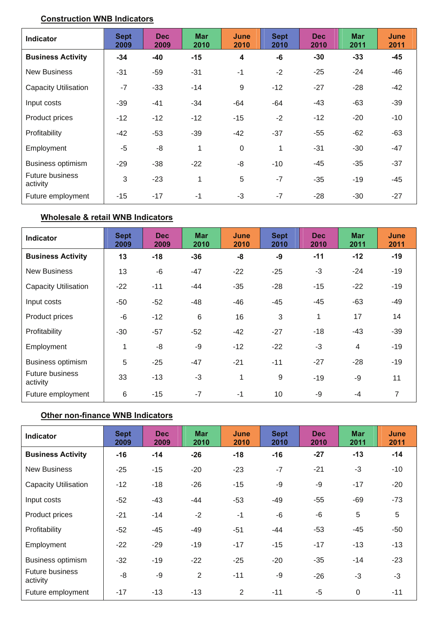## **Construction WNB Indicators**

| <b>Indicator</b>                   | <b>Sept</b><br>2009 | <b>Dec</b><br>2009 | <b>Mar</b><br>2010 | June<br>2010            | <b>Sept</b><br>2010 | <b>Dec</b><br>2010 | <b>Mar</b><br>2011 | June<br>2011 |
|------------------------------------|---------------------|--------------------|--------------------|-------------------------|---------------------|--------------------|--------------------|--------------|
| <b>Business Activity</b>           | $-34$               | $-40$              | $-15$              | $\overline{\mathbf{4}}$ | -6                  | $-30$              | $-33$              | $-45$        |
| <b>New Business</b>                | $-31$               | $-59$              | $-31$              | $-1$                    | $-2$                | $-25$              | $-24$              | $-46$        |
| <b>Capacity Utilisation</b>        | $-7$                | $-33$              | $-14$              | 9                       | $-12$               | $-27$              | $-28$              | -42          |
| Input costs                        | $-39$               | $-41$              | -34                | -64                     | -64                 | -43                | $-63$              | $-39$        |
| Product prices                     | $-12$               | $-12$              | $-12$              | $-15$                   | $-2$                | $-12$              | $-20$              | $-10$        |
| Profitability                      | $-42$               | $-53$              | $-39$              | $-42$                   | $-37$               | $-55$              | $-62$              | -63          |
| Employment                         | -5                  | -8                 | 1                  | $\mathbf 0$             | 1                   | $-31$              | $-30$              | -47          |
| <b>Business optimism</b>           | $-29$               | $-38$              | $-22$              | -8                      | $-10$               | -45                | $-35$              | $-37$        |
| <b>Future business</b><br>activity | 3                   | $-23$              | 1                  | 5                       | $-7$                | $-35$              | $-19$              | -45          |
| Future employment                  | $-15$               | $-17$              | $-1$               | $-3$                    | $-7$                | $-28$              | $-30$              | $-27$        |

## **Wholesale & retail WNB Indicators**

| <b>Indicator</b>                   | <b>Sept</b><br>2009 | <b>Dec</b><br>2009 | <b>Mar</b><br>2010 | June<br>2010 | <b>Sept</b><br>2010 | <b>Dec</b><br>2010 | <b>Mar</b><br>2011       | June<br>2011   |
|------------------------------------|---------------------|--------------------|--------------------|--------------|---------------------|--------------------|--------------------------|----------------|
| <b>Business Activity</b>           | 13                  | $-18$              | $-36$              | -8           | -9                  | $-11$              | $-12$                    | $-19$          |
| <b>New Business</b>                | 13                  | -6                 | $-47$              | $-22$        | $-25$               | $-3$               | $-24$                    | -19            |
| <b>Capacity Utilisation</b>        | $-22$               | $-11$              | -44                | $-35$        | $-28$               | $-15$              | $-22$                    | $-19$          |
| Input costs                        | $-50$               | $-52$              | $-48$              | $-46$        | $-45$               | $-45$              | $-63$                    | $-49$          |
| Product prices                     | -6                  | $-12$              | 6                  | 16           | 3                   | 1                  | 17                       | 14             |
| Profitability                      | $-30$               | $-57$              | $-52$              | $-42$        | $-27$               | $-18$              | -43                      | $-39$          |
| Employment                         | 1                   | -8                 | -9                 | $-12$        | $-22$               | $-3$               | $\overline{\mathcal{A}}$ | $-19$          |
| Business optimism                  | 5                   | $-25$              | $-47$              | $-21$        | $-11$               | $-27$              | $-28$                    | $-19$          |
| <b>Future business</b><br>activity | 33                  | $-13$              | $-3$               | 1            | 9                   | $-19$              | -9                       | 11             |
| Future employment                  | 6                   | $-15$              | $-7$               | $-1$         | 10                  | -9                 | $-4$                     | $\overline{7}$ |

## **Other non-finance WNB Indicators**

| <b>Indicator</b>                   | <b>Sept</b><br>2009 | <b>Dec</b><br>2009 | <b>Mar</b><br>2010 | June<br>2010 | <b>Sept</b><br>2010 | <b>Dec</b><br>2010 | <b>Mar</b><br>2011 | <b>June</b><br>2011 |
|------------------------------------|---------------------|--------------------|--------------------|--------------|---------------------|--------------------|--------------------|---------------------|
| <b>Business Activity</b>           | $-16$               | $-14$              | $-26$              | $-18$        | $-16$               | $-27$              | $-13$              | $-14$               |
| <b>New Business</b>                | $-25$               | $-15$              | $-20$              | $-23$        | $-7$                | $-21$              | $-3$               | $-10$               |
| <b>Capacity Utilisation</b>        | $-12$               | $-18$              | -26                | $-15$        | -9                  | -9                 | $-17$              | $-20$               |
| Input costs                        | $-52$               | $-43$              | $-44$              | $-53$        | $-49$               | $-55$              | -69                | -73                 |
| Product prices                     | $-21$               | $-14$              | $-2$               | $-1$         | -6                  | -6                 | 5                  | 5                   |
| Profitability                      | $-52$               | $-45$              | -49                | $-51$        | -44                 | $-53$              | -45                | -50                 |
| Employment                         | $-22$               | $-29$              | $-19$              | $-17$        | $-15$               | $-17$              | $-13$              | $-13$               |
| <b>Business optimism</b>           | $-32$               | $-19$              | $-22$              | $-25$        | $-20$               | $-35$              | $-14$              | $-23$               |
| <b>Future business</b><br>activity | -8                  | -9                 | 2                  | $-11$        | -9                  | $-26$              | $-3$               | $-3$                |
| Future employment                  | $-17$               | $-13$              | $-13$              | 2            | $-11$               | $-5$               | 0                  | $-11$               |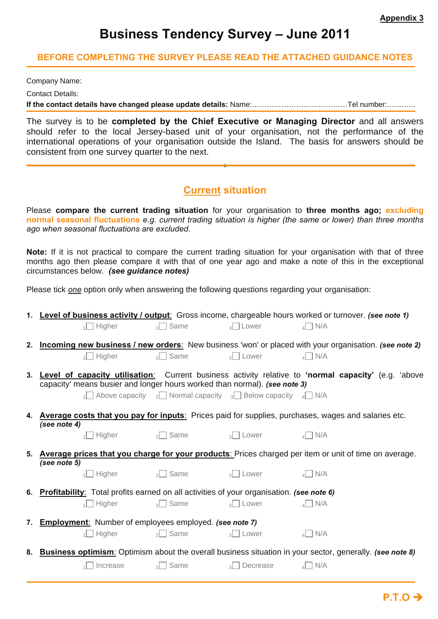# **Business Tendency Survey – June 2011**

#### **BEFORE COMPLETING THE SURVEY PLEASE READ THE ATTACHED GUIDANCE NOTES**

Company Name:

Contact Details:

**If the contact details have changed please update details:** Name:…………………………………Tel number:.………..

The survey is to be **completed by the Chief Executive or Managing Director** and all answers should refer to the local Jersey-based unit of your organisation, not the performance of the international operations of your organisation outside the Island. The basis for answers should be consistent from one survey quarter to the next.

## **Current situation**

**.**

Please **compare the current trading situation** for your organisation to **three months ago; excluding normal seasonal fluctuations** *e.g. current trading situation is higher (the same or lower) than three months ago when seasonal fluctuations are excluded.* 

**Note:** If it is not practical to compare the current trading situation for your organisation with that of three months ago then please compare it with that of one year ago and make a note of this in the exceptional circumstances below. *(see guidance notes)* 

Please tick *one* option only when answering the following questions regarding your organisation:

| 1. Level of business activity / output: Gross income, chargeable hours worked or turnover. (see note 1)                                 |                    |                                                                                                           |                                                                                                                             |  |  |  |
|-----------------------------------------------------------------------------------------------------------------------------------------|--------------------|-----------------------------------------------------------------------------------------------------------|-----------------------------------------------------------------------------------------------------------------------------|--|--|--|
| $\Box$ Higher                                                                                                                           | Same<br>$\lambda$  | $3$ Lower                                                                                                 | $_4$ N/A                                                                                                                    |  |  |  |
| $\Box$ Higher                                                                                                                           | $\frac{1}{2}$ Same | $\overline{3}$ Lower                                                                                      | 2. Incoming new business / new orders: New business 'won' or placed with your organisation. (see note 2)<br>$\triangle$ N/A |  |  |  |
| capacity' means busier and longer hours worked than normal). (see note 3)                                                               |                    | $\frac{1}{1}$ Above capacity $\frac{1}{2}$ Normal capacity $\frac{1}{3}$ Below capacity $\frac{1}{4}$ N/A | 3. Level of capacity utilisation: Current business activity relative to 'normal capacity' (e.g. 'above                      |  |  |  |
| 4. Average costs that you pay for inputs: Prices paid for supplies, purchases, wages and salaries etc.<br>(see note 4)<br>$\Box$ Higher | $\sim$ Same        | $\frac{1}{3}$ Lower                                                                                       | $\triangle$ N/A                                                                                                             |  |  |  |
| (see note 5)<br>$\sqrt{ }$ Higher $\sqrt{ }$ Same                                                                                       |                    | <sub>3</sub> Lower                                                                                        | 5. Average prices that you charge for your products: Prices charged per item or unit of time on average.<br>$_4$ N/A        |  |  |  |
| 6. Profitability: Total profits earned on all activities of your organisation. (see note 6)<br>$\Box$ Higher                            | $\frac{1}{2}$ Same | $_3$   Lower                                                                                              | $_4$ N/A                                                                                                                    |  |  |  |
| 7. <b>Employment:</b> Number of employees employed. (see note 7)<br>$\sqrt{ }$ Higher                                                   | $\sqrt{ }$ Same    | $_3$   Lower                                                                                              | $_4$ N/A                                                                                                                    |  |  |  |
|                                                                                                                                         |                    |                                                                                                           | 8. Business optimism: Optimism about the overall business situation in your sector, generally. (see note 8)                 |  |  |  |
| Increase                                                                                                                                | $\lambda$ Same     | $\sqrt{3}$ Decrease                                                                                       | $_4$ I N/A                                                                                                                  |  |  |  |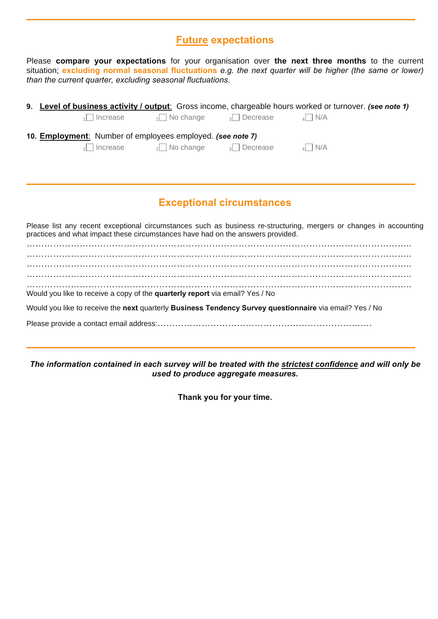## **Future expectations**

Please **compare your expectations** for your organisation over **the next three months** to the current situation; **excluding normal seasonal fluctuations** *e.g. the next quarter will be higher (the same or lower) than the current quarter, excluding seasonal fluctuations.* 

|                                                            |                                                                                         |  | 9. Level of business activity / output: Gross income, chargeable hours worked or turnover. (see note 1) |  |  |  |  |  |  |
|------------------------------------------------------------|-----------------------------------------------------------------------------------------|--|---------------------------------------------------------------------------------------------------------|--|--|--|--|--|--|
|                                                            | $\frac{1}{2}$ Increase $\frac{1}{2}$ No change $\frac{1}{3}$ Decrease $\frac{1}{4}$ N/A |  |                                                                                                         |  |  |  |  |  |  |
| 10. Employment: Number of employees employed. (see note 7) |                                                                                         |  |                                                                                                         |  |  |  |  |  |  |
|                                                            | $\sqrt{1}$ Increase $\sqrt{2}$ No change $\sqrt{3}$ Decrease                            |  | $\overline{A}$ N/A                                                                                      |  |  |  |  |  |  |
|                                                            |                                                                                         |  |                                                                                                         |  |  |  |  |  |  |

## **Exceptional circumstances**

Please list any recent exceptional circumstances such as business re-structuring, mergers or changes in accounting practices and what impact these circumstances have had on the answers provided.

………………………………………………………………………………………………………………….. ………………………………………………………………………………………………………………….. ………………………………………………………………………………………………………………….. ………………………………………………………………………………………………………………….. Would you like to receive a copy of the **quarterly report** via email? Yes / No

Would you like to receive the **next** quarterly **Business Tendency Survey questionnaire** via email? Yes / No

Please provide a contact email address:……………………………………………………………….

*The information contained in each survey will be treated with the strictest confidence and will only be used to produce aggregate measures.* 

**Thank you for your time.**